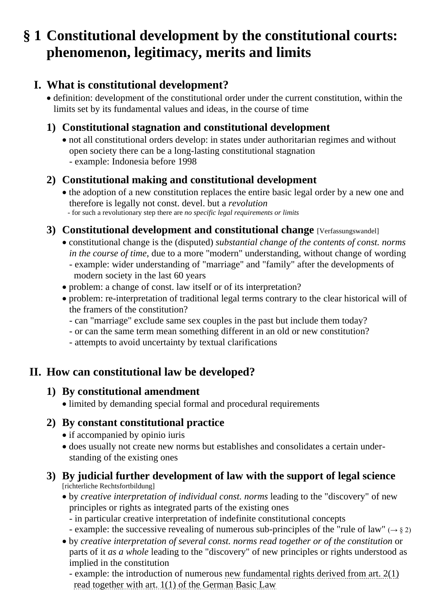# **§ 1 Constitutional development by the constitutional courts: phenomenon, legitimacy, merits and limits**

# **I. What is constitutional development?**

• definition: development of the constitutional order under the current constitution, within the limits set by its fundamental values and ideas, in the course of time

### **1) Constitutional stagnation and constitutional development**

• not all constitutional orders develop: in states under authoritarian regimes and without open society there can be a long-lasting constitutional stagnation - example: Indonesia before 1998

### **2) Constitutional making and constitutional development**

• the adoption of a new constitution replaces the entire basic legal order by a new one and therefore is legally not const. devel. but a *revolution* - for such a revolutionary step there are *no specific legal requirements or limits*

#### **3) Constitutional development and constitutional change [Verfassungswandel]**

- constitutional change is the (disputed) *substantial change of the contents of const. norms in the course of time*, due to a more "modern" understanding, without change of wording
	- example: wider understanding of "marriage" and "family" after the developments of modern society in the last 60 years
- problem: a change of const. law itself or of its interpretation?
- problem: re-interpretation of traditional legal terms contrary to the clear historical will of the framers of the constitution?
	- can "marriage" exclude same sex couples in the past but include them today?
	- or can the same term mean something different in an old or new constitution?
	- attempts to avoid uncertainty by textual clarifications

# **II. How can constitutional law be developed?**

# **1) By constitutional amendment**

• limited by demanding special formal and procedural requirements

# **2) By constant constitutional practice**

- if accompanied by opinio iuris
- does usually not create new norms but establishes and consolidates a certain under standing of the existing ones

#### **3) By judicial further development of law with the support of legal science** [richterliche Rechtsfortbildung]

- by *creative interpretation of individual const. norms* leading to the "discovery" of new principles or rights as integrated parts of the existing ones
	- in particular creative interpretation of indefinite constitutional concepts
	- example: the successive revealing of numerous sub-principles of the "rule of law" ( $\rightarrow$  § 2)
- by *creative interpretation of several const. norms read together or of the constitution* or parts of it *as a whole* leading to the "discovery" of new principles or rights understood as implied in the constitution
	- example: the introduction of numerous [new fundamental rights derived from art. 2\(1\)](http://www.thomas-schmitz-yogyakarta.id/Downloads/Schmitz_FRGermany_f.r.-overview.pdf)  [read together with art. 1\(1\) of the German Basic Law](http://www.thomas-schmitz-yogyakarta.id/Downloads/Schmitz_FRGermany_f.r.-overview.pdf)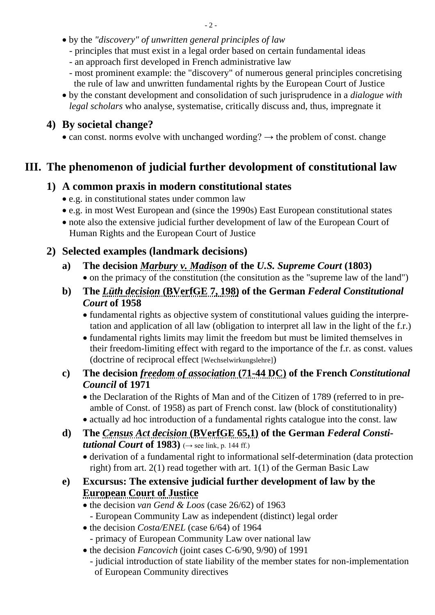- by the *"discovery" of unwritten general principles of law*
	- principles that must exist in a legal order based on certain fundamental ideas
	- an approach first developed in French administrative law
	- most prominent example: the "discovery" of numerous general principles concretising the rule of law and unwritten fundamental rights by the European Court of Justice
- by the constant development and consolidation of such jurisprudence in a *dialogue with legal scholars* who analyse, systematise, critically discuss and, thus, impregnate it

### **4) By societal change?**

• can const. norms evolve with unchanged wording?  $\rightarrow$  the problem of const. change

# **III. The phenomenon of judicial further devolopment of constitutional law**

### **1) A common praxis in modern constitutional states**

- e.g. in constitutional states under common law
- e.g. in most West European and (since the 1990s) East European constitutional states
- note also the extensive judicial further development of law of the European Court of Human Rights and the European Court of Justice

## **2) Selected examples (landmark decisions)**

- **a) The decision** *[Marbury v. Madison](https://www.law.cornell.edu/supremecourt/text/5/137)* **of the** *U.S. Supreme Court* **(1803)** • on the primacy of the constitution (the consitution as the "supreme law of the land")
- **b) The** *Lüth decision* **[\(BVerfGE 7, 198\)](http://germanlawarchive.iuscomp.org/?p=51) of the German** *Federal Constitutional Court* **of 1958**
	- fundamental rights as objective system of constitutional values guiding the interpre tation and application of all law (obligation to interpret all law in the light of the f.r.)
	- fundamental rights limits may limit the freedom but must be limited themselves in their freedom-limiting effect with regard to the importance of the f.r. as const. values (doctrine of reciprocal effect [Wechselwirkungslehre])
- **c) The decision** *[freedom of association](https://www.conseil-constitutionnel.fr/en/decision/1971/7144DC.htm)* **(71-44 DC) of the French** *Constitutional Council* **of 1971**
	- the Declaration of the Rights of Man and of the Citizen of 1789 (referred to in preamble of Const. of 1958) as part of French const. law (block of constitutionality)
	- actually ad hoc introduction of a fundamental rights catalogue into the const. law
- **d) The** *Census Act decision* **[\(BVerfGE 65,1\)](http://www.kas.de/wf/doc/26197-1442-1-30.pdf) of the German** *Federal Constitutional Court* of 1983)  $(\rightarrow$  see link, p. 144 ff.)
	- derivation of a fundamental right to informational self-determination (data protection right) from art. 2(1) read together with art. 1(1) of the German Basic Law

#### **e) Excursus: The extensive judicial further development of law by the [European Court of Justice](http://www.iuspublicum-thomas-schmitz.uni-goettingen.de/Lehre/Jurisprudence-on-integration-1.htm)**

- the decision *van Gend & Loos* (case 26/62) of 1963
	- European Community Law as independent (distinct) legal order
- the decision *Costa/ENEL* (case 6/64) of 1964
	- primacy of European Community Law over national law
- the decision *Fancovich* (joint cases C-6/90, 9/90) of 1991
	- judicial introduction of state liability of the member states for non-implementation of European Community directives